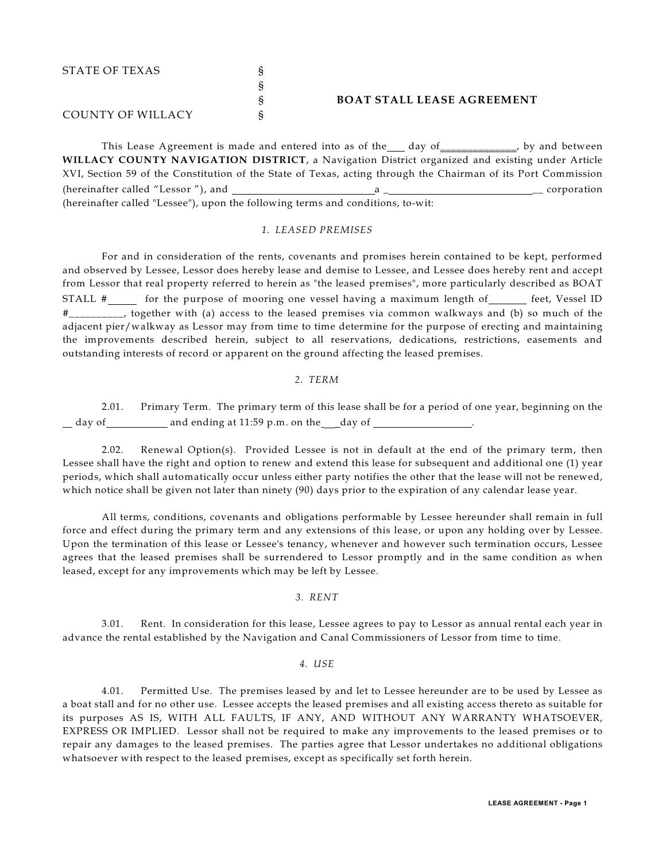| STATE OF TEXAS    |                                   |
|-------------------|-----------------------------------|
|                   |                                   |
|                   | <b>BOAT STALL LEASE AGREEMENT</b> |
| COUNTY OF WILLACY |                                   |

This Lease Agreement is made and entered into as of the day of the set of the position between **WILLACY COUNTY NAVIGATION DISTRICT**, a Navigation District organized and existing under Article XVI, Section 59 of the Constitution of the State of Texas, acting through the Chairman of its Port Commission (hereinafter called "Lessor "), and a \_ \_\_ corporation (hereinafter called "Lessee"), upon the following terms and conditions, to-wit:

#### *1. LEASED PREMISES*

For and in consideration of the rents, covenants and promises herein contained to be kept, performed and observed by Lessee, Lessor does hereby lease and demise to Lessee, and Lessee does hereby rent and accept from Lessor that real property referred to herein as "the leased premises", more particularly described as BOAT STALL  $\#$  for the purpose of mooring one vessel having a maximum length of feet, Vessel ID #\_\_\_\_\_\_\_\_\_\_, together with (a) access to the leased premises via common walkways and (b) so much of the adjacent pier/walkway as Lessor may from time to time determine for the purpose of erecting and maintaining the improvements described herein, subject to all reservations, dedications, restrictions, easements and outstanding interests of record or apparent on the ground affecting the leased premises.

#### *2. TERM*

2.01. Primary Term. The primary term of this lease shall be for a period of one year, beginning on the day of \_\_\_\_\_\_\_\_\_\_\_\_ and ending at 11:59 p.m. on the \_\_\_day of \_\_\_\_\_\_\_\_\_\_\_\_\_\_\_\_\_\_.

2.02. Renewal Option(s). Provided Lessee is not in default at the end of the primary term, then Lessee shall have the right and option to renew and extend this lease for subsequent and additional one (1) year periods, which shall automatically occur unless either party notifies the other that the lease will not be renewed, which notice shall be given not later than ninety (90) days prior to the expiration of any calendar lease year.

All terms, conditions, covenants and obligations performable by Lessee hereunder shall remain in full force and effect during the primary term and any extensions of this lease, or upon any holding over by Lessee. Upon the termination of this lease or Lessee's tenancy, whenever and however such termination occurs, Lessee agrees that the leased premises shall be surrendered to Lessor promptly and in the same condition as when leased, except for any improvements which may be left by Lessee.

## *3. RENT*

3.01. Rent. In consideration for this lease, Lessee agrees to pay to Lessor as annual rental each year in advance the rental established by the Navigation and Canal Commissioners of Lessor from time to time.

## *4. USE*

4.01. Permitted Use. The premises leased by and let to Lessee hereunder are to be used by Lessee as a boat stall and for no other use. Lessee accepts the leased premises and all existing access thereto as suitable for its purposes AS IS, WITH ALL FAULTS, IF ANY, AND WITHOUT ANY WARRANTY WHATSOEVER, EXPRESS OR IMPLIED. Lessor shall not be required to make any improvements to the leased premises or to repair any damages to the leased premises. The parties agree that Lessor undertakes no additional obligations whatsoever with respect to the leased premises, except as specifically set forth herein.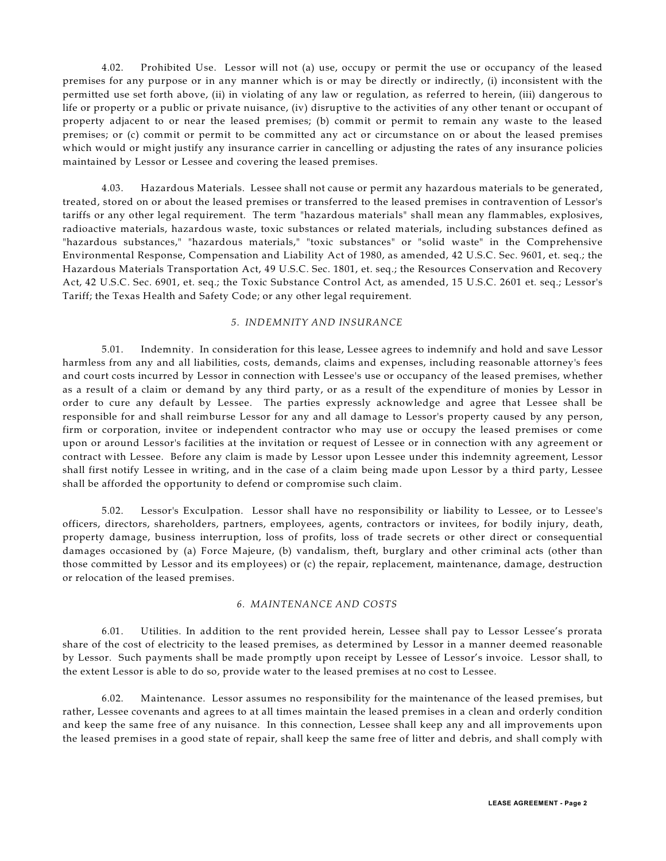4.02. Prohibited Use. Lessor will not (a) use, occupy or permit the use or occupancy of the leased premises for any purpose or in any manner which is or may be directly or indirectly, (i) inconsistent with the permitted use set forth above, (ii) in violating of any law or regulation, as referred to herein, (iii) dangerous to life or property or a public or private nuisance, (iv) disruptive to the activities of any other tenant or occupant of property adjacent to or near the leased premises; (b) commit or permit to remain any waste to the leased premises; or (c) commit or permit to be committed any act or circumstance on or about the leased premises which would or might justify any insurance carrier in cancelling or adjusting the rates of any insurance policies maintained by Lessor or Lessee and covering the leased premises.

4.03. Hazardous Materials. Lessee shall not cause or permit any hazardous materials to be generated, treated, stored on or about the leased premises or transferred to the leased premises in contravention of Lessor's tariffs or any other legal requirement. The term "hazardous materials" shall mean any flammables, explosives, radioactive materials, hazardous waste, toxic substances or related materials, including substances defined as "hazardous substances," "hazardous materials," "toxic substances" or "solid waste" in the Comprehensive Environmental Response, Compensation and Liability Act of 1980, as amended, 42 U.S.C. Sec. 9601, et. seq.; the Hazardous Materials Transportation Act, 49 U.S.C. Sec. 1801, et. seq.; the Resources Conservation and Recovery Act, 42 U.S.C. Sec. 6901, et. seq.; the Toxic Substance Control Act, as amended, 15 U.S.C. 2601 et. seq.; Lessor's Tariff; the Texas Health and Safety Code; or any other legal requirement.

# *5. INDEMNITY AND INSURANCE*

5.01. Indemnity. In consideration for this lease, Lessee agrees to indemnify and hold and save Lessor harmless from any and all liabilities, costs, demands, claims and expenses, including reasonable attorney's fees and court costs incurred by Lessor in connection with Lessee's use or occupancy of the leased premises, whether as a result of a claim or demand by any third party, or as a result of the expenditure of monies by Lessor in order to cure any default by Lessee. The parties expressly acknowledge and agree that Lessee shall be responsible for and shall reimburse Lessor for any and all damage to Lessor's property caused by any person, firm or corporation, invitee or independent contractor who may use or occupy the leased premises or come upon or around Lessor's facilities at the invitation or request of Lessee or in connection with any agreement or contract with Lessee. Before any claim is made by Lessor upon Lessee under this indemnity agreement, Lessor shall first notify Lessee in writing, and in the case of a claim being made upon Lessor by a third party, Lessee shall be afforded the opportunity to defend or compromise such claim.

5.02. Lessor's Exculpation. Lessor shall have no responsibility or liability to Lessee, or to Lessee's officers, directors, shareholders, partners, employees, agents, contractors or invitees, for bodily injury, death, property damage, business interruption, loss of profits, loss of trade secrets or other direct or consequential damages occasioned by (a) Force Majeure, (b) vandalism, theft, burglary and other criminal acts (other than those committed by Lessor and its employees) or (c) the repair, replacement, maintenance, damage, destruction or relocation of the leased premises.

### *6. MAINTENANCE AND COSTS*

6.01. Utilities. In addition to the rent provided herein, Lessee shall pay to Lessor Lessee's prorata share of the cost of electricity to the leased premises, as determined by Lessor in a manner deemed reasonable by Lessor. Such payments shall be made promptly upon receipt by Lessee of Lessor's invoice. Lessor shall, to the extent Lessor is able to do so, provide water to the leased premises at no cost to Lessee.

6.02. Maintenance. Lessor assumes no responsibility for the maintenance of the leased premises, but rather, Lessee covenants and agrees to at all times maintain the leased premises in a clean and orderly condition and keep the same free of any nuisance. In this connection, Lessee shall keep any and all improvements upon the leased premises in a good state of repair, shall keep the same free of litter and debris, and shall comply with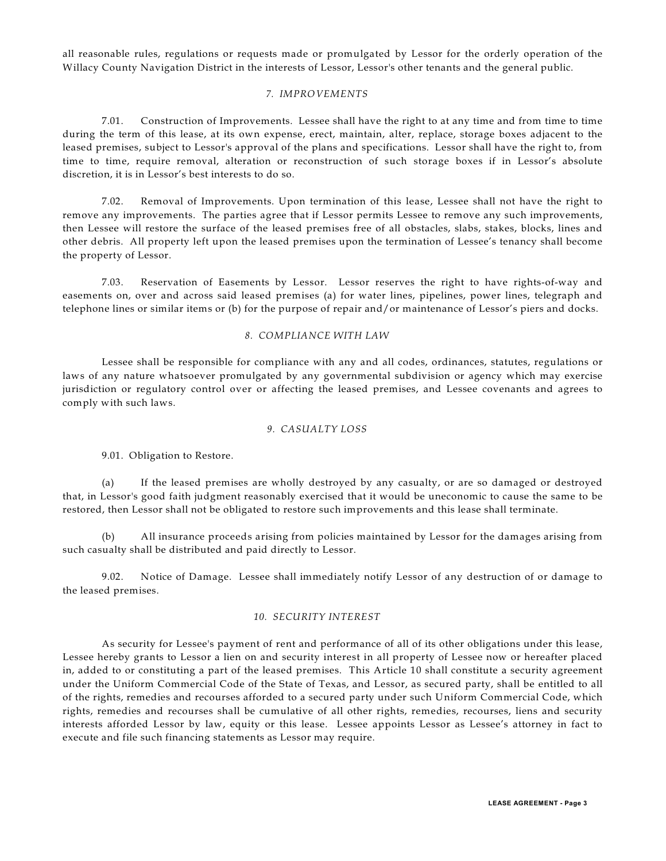all reasonable rules, regulations or requests made or promulgated by Lessor for the orderly operation of the Willacy County Navigation District in the interests of Lessor, Lessor's other tenants and the general public.

# *7. IMPROVEMENTS*

7.01. Construction of Improvements. Lessee shall have the right to at any time and from time to time during the term of this lease, at its own expense, erect, maintain, alter, replace, storage boxes adjacent to the leased premises, subject to Lessor's approval of the plans and specifications. Lessor shall have the right to, from time to time, require removal, alteration or reconstruction of such storage boxes if in Lessor's absolute discretion, it is in Lessor's best interests to do so.

7.02. Removal of Improvements. Upon termination of this lease, Lessee shall not have the right to remove any improvements. The parties agree that if Lessor permits Lessee to remove any such improvements, then Lessee will restore the surface of the leased premises free of all obstacles, slabs, stakes, blocks, lines and other debris. All property left upon the leased premises upon the termination of Lessee's tenancy shall become the property of Lessor.

7.03. Reservation of Easements by Lessor. Lessor reserves the right to have rights-of-way and easements on, over and across said leased premises (a) for water lines, pipelines, power lines, telegraph and telephone lines or similar items or (b) for the purpose of repair and/or maintenance of Lessor's piers and docks.

## *8. COMPLIANCE WITH LAW*

Lessee shall be responsible for compliance with any and all codes, ordinances, statutes, regulations or laws of any nature whatsoever promulgated by any governmental subdivision or agency which may exercise jurisdiction or regulatory control over or affecting the leased premises, and Lessee covenants and agrees to comply with such laws.

# *9. CASUALTY LOSS*

9.01. Obligation to Restore.

(a) If the leased premises are wholly destroyed by any casualty, or are so damaged or destroyed that, in Lessor's good faith judgment reasonably exercised that it would be uneconomic to cause the same to be restored, then Lessor shall not be obligated to restore such improvements and this lease shall terminate.

(b) All insurance proceeds arising from policies maintained by Lessor for the damages arising from such casualty shall be distributed and paid directly to Lessor.

9.02. Notice of Damage. Lessee shall immediately notify Lessor of any destruction of or damage to the leased premises.

# *10. SECURITY INTEREST*

As security for Lessee's payment of rent and performance of all of its other obligations under this lease, Lessee hereby grants to Lessor a lien on and security interest in all property of Lessee now or hereafter placed in, added to or constituting a part of the leased premises. This Article 10 shall constitute a security agreement under the Uniform Commercial Code of the State of Texas, and Lessor, as secured party, shall be entitled to all of the rights, remedies and recourses afforded to a secured party under such Uniform Commercial Code, which rights, remedies and recourses shall be cumulative of all other rights, remedies, recourses, liens and security interests afforded Lessor by law, equity or this lease. Lessee appoints Lessor as Lessee's attorney in fact to execute and file such financing statements as Lessor may require.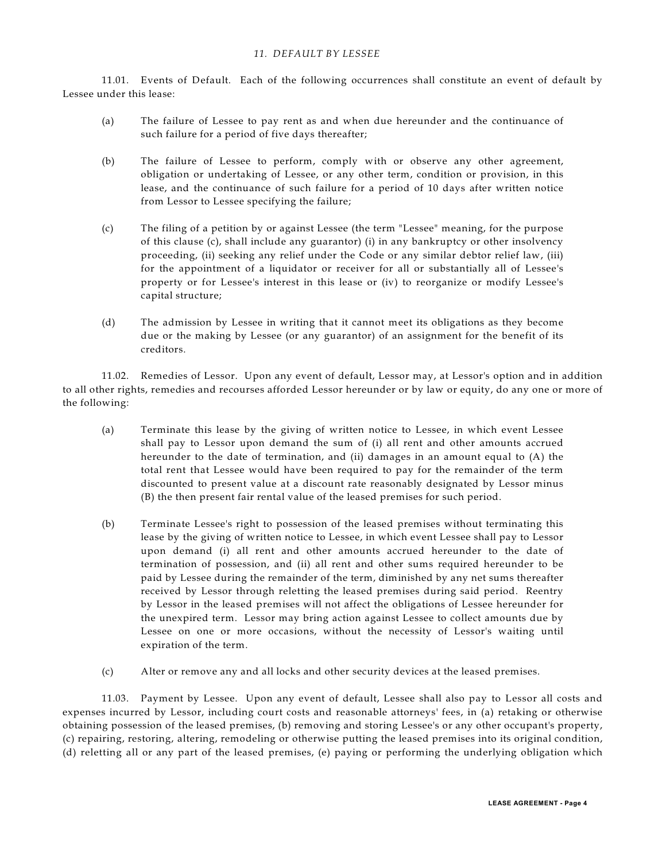# *11. DEFAULT BY LESSEE*

11.01. Events of Default. Each of the following occurrences shall constitute an event of default by Lessee under this lease:

- (a) The failure of Lessee to pay rent as and when due hereunder and the continuance of such failure for a period of five days thereafter;
- (b) The failure of Lessee to perform, comply with or observe any other agreement, obligation or undertaking of Lessee, or any other term, condition or provision, in this lease, and the continuance of such failure for a period of 10 days after written notice from Lessor to Lessee specifying the failure;
- (c) The filing of a petition by or against Lessee (the term "Lessee" meaning, for the purpose of this clause (c), shall include any guarantor) (i) in any bankruptcy or other insolvency proceeding, (ii) seeking any relief under the Code or any similar debtor relief law, (iii) for the appointment of a liquidator or receiver for all or substantially all of Lessee's property or for Lessee's interest in this lease or (iv) to reorganize or modify Lessee's capital structure;
- (d) The admission by Lessee in writing that it cannot meet its obligations as they become due or the making by Lessee (or any guarantor) of an assignment for the benefit of its creditors.

11.02. Remedies of Lessor. Upon any event of default, Lessor may, at Lessor's option and in addition to all other rights, remedies and recourses afforded Lessor hereunder or by law or equity, do any one or more of the following:

- (a) Terminate this lease by the giving of written notice to Lessee, in which event Lessee shall pay to Lessor upon demand the sum of (i) all rent and other amounts accrued hereunder to the date of termination, and (ii) damages in an amount equal to (A) the total rent that Lessee would have been required to pay for the remainder of the term discounted to present value at a discount rate reasonably designated by Lessor minus (B) the then present fair rental value of the leased premises for such period.
- (b) Terminate Lessee's right to possession of the leased premises without terminating this lease by the giving of written notice to Lessee, in which event Lessee shall pay to Lessor upon demand (i) all rent and other amounts accrued hereunder to the date of termination of possession, and (ii) all rent and other sums required hereunder to be paid by Lessee during the remainder of the term, diminished by any net sums thereafter received by Lessor through reletting the leased premises during said period. Reentry by Lessor in the leased premises will not affect the obligations of Lessee hereunder for the unexpired term. Lessor may bring action against Lessee to collect amounts due by Lessee on one or more occasions, without the necessity of Lessor's waiting until expiration of the term.
- (c) Alter or remove any and all locks and other security devices at the leased premises.

11.03. Payment by Lessee. Upon any event of default, Lessee shall also pay to Lessor all costs and expenses incurred by Lessor, including court costs and reasonable attorneys' fees, in (a) retaking or otherwise obtaining possession of the leased premises, (b) removing and storing Lessee's or any other occupant's property, (c) repairing, restoring, altering, remodeling or otherwise putting the leased premises into its original condition, (d) reletting all or any part of the leased premises, (e) paying or performing the underlying obligation which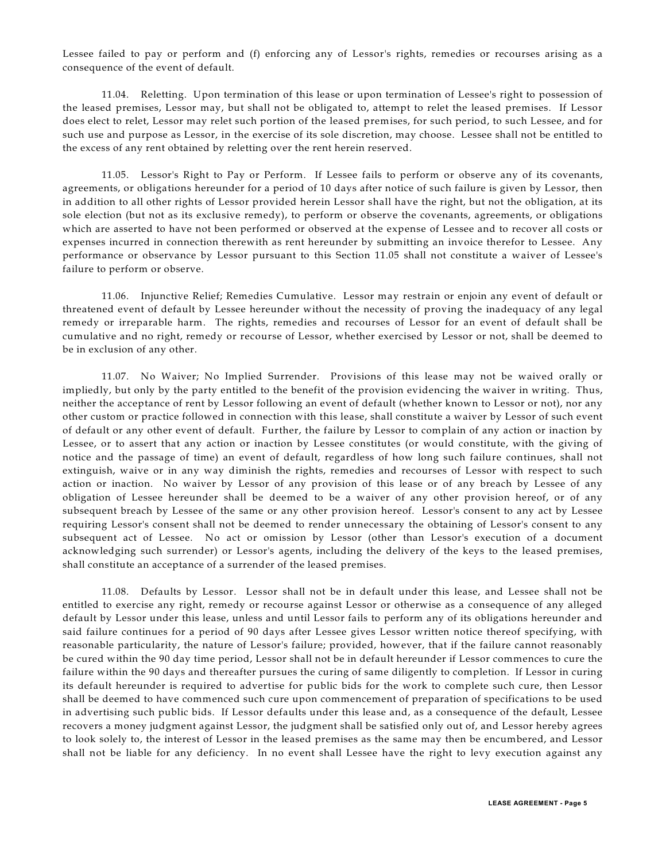Lessee failed to pay or perform and (f) enforcing any of Lessor's rights, remedies or recourses arising as a consequence of the event of default.

11.04. Reletting. Upon termination of this lease or upon termination of Lessee's right to possession of the leased premises, Lessor may, but shall not be obligated to, attempt to relet the leased premises. If Lessor does elect to relet, Lessor may relet such portion of the leased premises, for such period, to such Lessee, and for such use and purpose as Lessor, in the exercise of its sole discretion, may choose. Lessee shall not be entitled to the excess of any rent obtained by reletting over the rent herein reserved.

11.05. Lessor's Right to Pay or Perform. If Lessee fails to perform or observe any of its covenants, agreements, or obligations hereunder for a period of 10 days after notice of such failure is given by Lessor, then in addition to all other rights of Lessor provided herein Lessor shall have the right, but not the obligation, at its sole election (but not as its exclusive remedy), to perform or observe the covenants, agreements, or obligations which are asserted to have not been performed or observed at the expense of Lessee and to recover all costs or expenses incurred in connection therewith as rent hereunder by submitting an invoice therefor to Lessee. Any performance or observance by Lessor pursuant to this Section 11.05 shall not constitute a waiver of Lessee's failure to perform or observe.

11.06. Injunctive Relief; Remedies Cumulative. Lessor may restrain or enjoin any event of default or threatened event of default by Lessee hereunder without the necessity of proving the inadequacy of any legal remedy or irreparable harm. The rights, remedies and recourses of Lessor for an event of default shall be cumulative and no right, remedy or recourse of Lessor, whether exercised by Lessor or not, shall be deemed to be in exclusion of any other.

11.07. No Waiver; No Implied Surrender. Provisions of this lease may not be waived orally or impliedly, but only by the party entitled to the benefit of the provision evidencing the waiver in writing. Thus, neither the acceptance of rent by Lessor following an event of default (whether known to Lessor or not), nor any other custom or practice followed in connection with this lease, shall constitute a waiver by Lessor of such event of default or any other event of default. Further, the failure by Lessor to complain of any action or inaction by Lessee, or to assert that any action or inaction by Lessee constitutes (or would constitute, with the giving of notice and the passage of time) an event of default, regardless of how long such failure continues, shall not extinguish, waive or in any way diminish the rights, remedies and recourses of Lessor with respect to such action or inaction. No waiver by Lessor of any provision of this lease or of any breach by Lessee of any obligation of Lessee hereunder shall be deemed to be a waiver of any other provision hereof, or of any subsequent breach by Lessee of the same or any other provision hereof. Lessor's consent to any act by Lessee requiring Lessor's consent shall not be deemed to render unnecessary the obtaining of Lessor's consent to any subsequent act of Lessee. No act or omission by Lessor (other than Lessor's execution of a document acknowledging such surrender) or Lessor's agents, including the delivery of the keys to the leased premises, shall constitute an acceptance of a surrender of the leased premises.

11.08. Defaults by Lessor. Lessor shall not be in default under this lease, and Lessee shall not be entitled to exercise any right, remedy or recourse against Lessor or otherwise as a consequence of any alleged default by Lessor under this lease, unless and until Lessor fails to perform any of its obligations hereunder and said failure continues for a period of 90 days after Lessee gives Lessor written notice thereof specifying, with reasonable particularity, the nature of Lessor's failure; provided, however, that if the failure cannot reasonably be cured within the 90 day time period, Lessor shall not be in default hereunder if Lessor commences to cure the failure within the 90 days and thereafter pursues the curing of same diligently to completion. If Lessor in curing its default hereunder is required to advertise for public bids for the work to complete such cure, then Lessor shall be deemed to have commenced such cure upon commencement of preparation of specifications to be used in advertising such public bids. If Lessor defaults under this lease and, as a consequence of the default, Lessee recovers a money judgment against Lessor, the judgment shall be satisfied only out of, and Lessor hereby agrees to look solely to, the interest of Lessor in the leased premises as the same may then be encumbered, and Lessor shall not be liable for any deficiency. In no event shall Lessee have the right to levy execution against any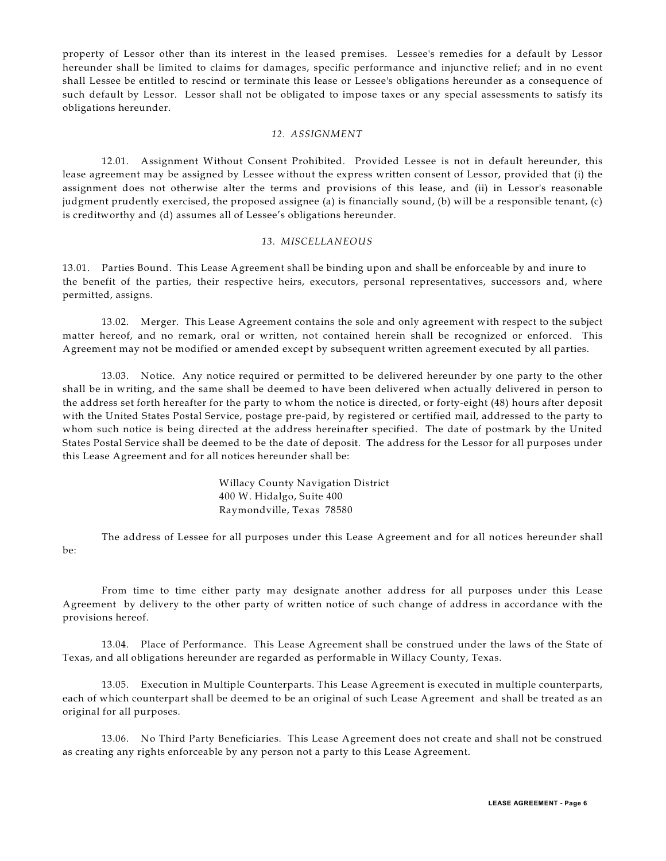property of Lessor other than its interest in the leased premises. Lessee's remedies for a default by Lessor hereunder shall be limited to claims for damages, specific performance and injunctive relief; and in no event shall Lessee be entitled to rescind or terminate this lease or Lessee's obligations hereunder as a consequence of such default by Lessor. Lessor shall not be obligated to impose taxes or any special assessments to satisfy its obligations hereunder.

### *12. ASSIGNMENT*

12.01. Assignment Without Consent Prohibited. Provided Lessee is not in default hereunder, this lease agreement may be assigned by Lessee without the express written consent of Lessor, provided that (i) the assignment does not otherwise alter the terms and provisions of this lease, and (ii) in Lessor's reasonable judgment prudently exercised, the proposed assignee (a) is financially sound, (b) will be a responsible tenant, (c) is creditworthy and (d) assumes all of Lessee's obligations hereunder.

#### *13. MISCELLANEOUS*

13.01. Parties Bound. This Lease Agreement shall be binding upon and shall be enforceable by and inure to the benefit of the parties, their respective heirs, executors, personal representatives, successors and, where permitted, assigns.

13.02. Merger. This Lease Agreement contains the sole and only agreement with respect to the subject matter hereof, and no remark, oral or written, not contained herein shall be recognized or enforced. This Agreement may not be modified or amended except by subsequent written agreement executed by all parties.

13.03. Notice. Any notice required or permitted to be delivered hereunder by one party to the other shall be in writing, and the same shall be deemed to have been delivered when actually delivered in person to the address set forth hereafter for the party to whom the notice is directed, or forty-eight (48) hours after deposit with the United States Postal Service, postage pre-paid, by registered or certified mail, addressed to the party to whom such notice is being directed at the address hereinafter specified. The date of postmark by the United States Postal Service shall be deemed to be the date of deposit. The address for the Lessor for all purposes under this Lease Agreement and for all notices hereunder shall be:

> Willacy County Navigation District 400 W. Hidalgo, Suite 400 Raymondville, Texas 78580

The address of Lessee for all purposes under this Lease Agreement and for all notices hereunder shall be:

From time to time either party may designate another address for all purposes under this Lease Agreement by delivery to the other party of written notice of such change of address in accordance with the provisions hereof.

13.04. Place of Performance. This Lease Agreement shall be construed under the laws of the State of Texas, and all obligations hereunder are regarded as performable in Willacy County, Texas.

13.05. Execution in Multiple Counterparts. This Lease Agreement is executed in multiple counterparts, each of which counterpart shall be deemed to be an original of such Lease Agreement and shall be treated as an original for all purposes.

13.06. No Third Party Beneficiaries. This Lease Agreement does not create and shall not be construed as creating any rights enforceable by any person not a party to this Lease Agreement.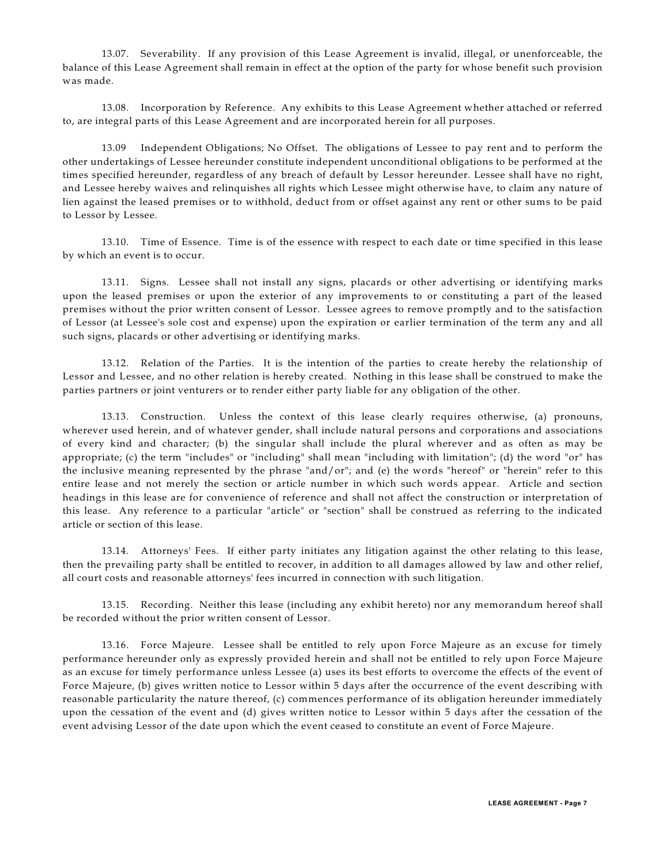13.07. Severability. If any provision of this Lease Agreement is invalid, illegal, or unenforceable, the balance of this Lease Agreement shall remain in effect at the option of the party for whose benefit such provision was made.

13.08. Incorporation by Reference. Any exhibits to this Lease Agreement whether attached or referred to, are integral parts of this Lease Agreement and are incorporated herein for all purposes.

13.09 Independent Obligations; No Offset. The obligations of Lessee to pay rent and to perform the other undertakings of Lessee hereunder constitute independent unconditional obligations to be performed at the times specified hereunder, regardless of any breach of default by Lessor hereunder. Lessee shall have no right, and Lessee hereby waives and relinquishes all rights which Lessee might otherwise have, to claim any nature of lien against the leased premises or to withhold, deduct from or offset against any rent or other sums to be paid to Lessor by Lessee.

13.10. Time of Essence. Time is of the essence with respect to each date or time specified in this lease by which an event is to occur.

13.11. Signs. Lessee shall not install any signs, placards or other advertising or identifying marks upon the leased premises or upon the exterior of any improvements to or constituting a part of the leased premises without the prior written consent of Lessor. Lessee agrees to remove promptly and to the satisfaction of Lessor (at Lessee's sole cost and expense) upon the expiration or earlier termination of the term any and all such signs, placards or other advertising or identifying marks.

13.12. Relation of the Parties. It is the intention of the parties to create hereby the relationship of Lessor and Lessee, and no other relation is hereby created. Nothing in this lease shall be construed to make the parties partners or joint venturers or to render either party liable for any obligation of the other.

13.13. Construction. Unless the context of this lease clearly requires otherwise, (a) pronouns, wherever used herein, and of whatever gender, shall include natural persons and corporations and associations of every kind and character; (b) the singular shall include the plural wherever and as often as may be appropriate; (c) the term "includes" or "including" shall mean "including with limitation"; (d) the word "or" has the inclusive meaning represented by the phrase "and/or"; and (e) the words "hereof" or "herein" refer to this entire lease and not merely the section or article number in which such words appear. Article and section headings in this lease are for convenience of reference and shall not affect the construction or interpretation of this lease. Any reference to a particular "article" or "section" shall be construed as referring to the indicated article or section of this lease.

13.14. Attorneys' Fees. If either party initiates any litigation against the other relating to this lease, then the prevailing party shall be entitled to recover, in addition to all damages allowed by law and other relief, all court costs and reasonable attorneys' fees incurred in connection with such litigation.

13.15. Recording. Neither this lease (including any exhibit hereto) nor any memorandum hereof shall be recorded without the prior written consent of Lessor.

13.16. Force Majeure. Lessee shall be entitled to rely upon Force Majeure as an excuse for timely performance hereunder only as expressly provided herein and shall not be entitled to rely upon Force Majeure as an excuse for timely performance unless Lessee (a) uses its best efforts to overcome the effects of the event of Force Majeure, (b) gives written notice to Lessor within 5 days after the occurrence of the event describing with reasonable particularity the nature thereof, (c) commences performance of its obligation hereunder immediately upon the cessation of the event and (d) gives written notice to Lessor within 5 days after the cessation of the event advising Lessor of the date upon which the event ceased to constitute an event of Force Majeure.